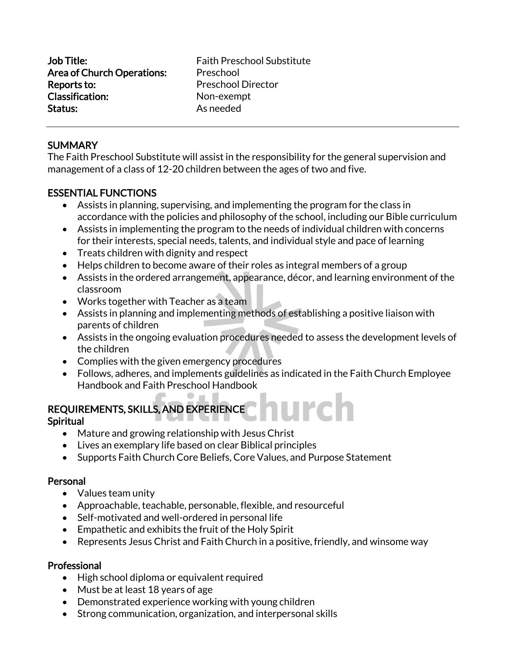Job Title: Faith Preschool Substitute Area of Church Operations: Preschool **Reports to:** Preschool Director Classification: Non-exempt Status: As needed

# **SUMMARY**

The Faith Preschool Substitute will assist in the responsibility for the general supervision and management of a class of 12-20 children between the ages of two and five.

# ESSENTIAL FUNCTIONS

- Assists in planning, supervising, and implementing the program for the class in accordance with the policies and philosophy of the school, including our Bible curriculum
- Assists in implementing the program to the needs of individual children with concerns for their interests, special needs, talents, and individual style and pace of learning
- Treats children with dignity and respect
- Helps children to become aware of their roles as integral members of a group
- Assists in the ordered arrangement, appearance, décor, and learning environment of the classroom
- Works together with Teacher as a team
- Assists in planning and implementing methods of establishing a positive liaison with parents of children
- Assists in the ongoing evaluation procedures needed to assess the development levels of the children
- Complies with the given emergency procedures
- Follows, adheres, and implements guidelines as indicated in the Faith Church Employee Handbook and Faith Preschool Handbook

# REQUIREMENTS, SKILLS, AND EXPERIENCE

#### Spiritual

- Mature and growing relationship with Jesus Christ
- Lives an exemplary life based on clear Biblical principles
- Supports Faith Church Core Beliefs, Core Values, and Purpose Statement

#### Personal

- Values team unity
- Approachable, teachable, personable, flexible, and resourceful
- Self-motivated and well-ordered in personal life
- Empathetic and exhibits the fruit of the Holy Spirit
- Represents Jesus Christ and Faith Church in a positive, friendly, and winsome way

# Professional

- High school diploma or equivalent required
- Must be at least 18 years of age
- Demonstrated experience working with young children
- Strong communication, organization, and interpersonal skills